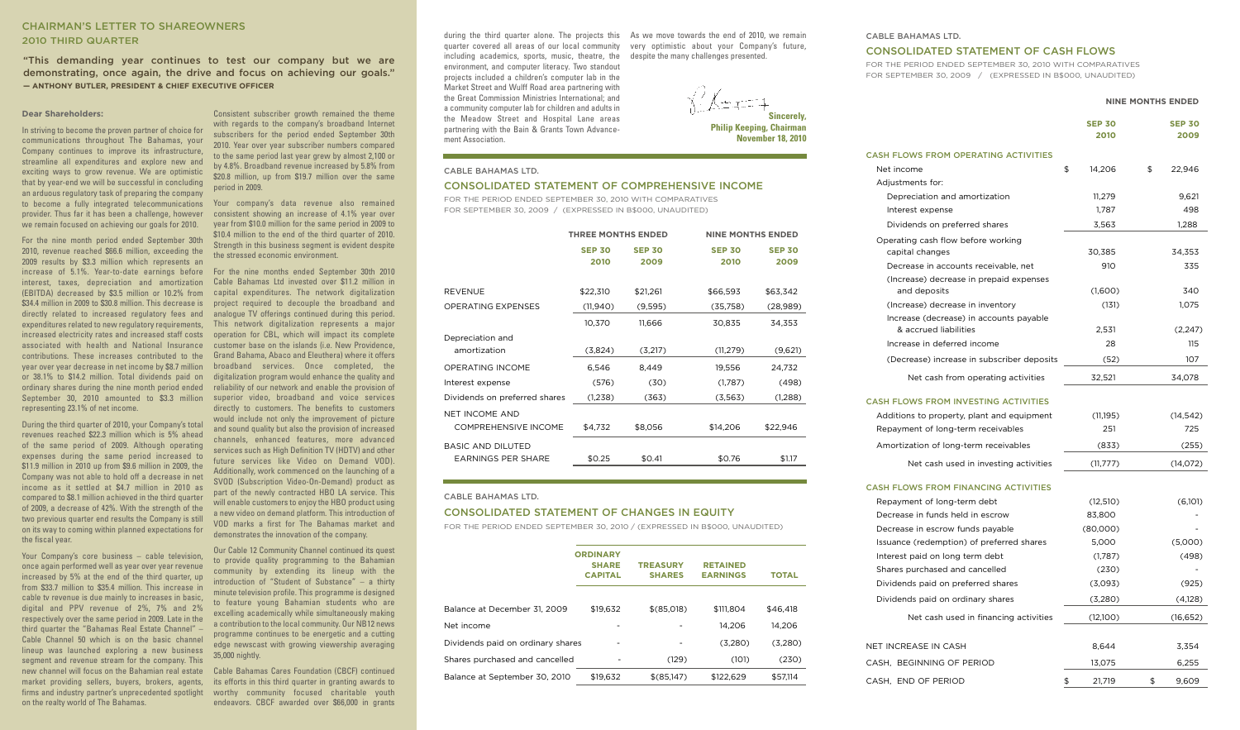# **CHAIRMAN'S LETTER TO SHAREOWNERS 2010 THIRD QUARTER**

**"This demanding year continues to test our company but we are demonstrating, once again, the drive and focus on achieving our goals." — ANTHONY BUTLER, PRESIDENT & CHIEF EXECUTIVE OFFICER**

### **Dear Shareholders:**

In striving to become the proven partner of choice for communications throughout The Bahamas, your Company continues to improve its infrastructure, streamline all expenditures and explore new and exciting ways to grow revenue. We are optimistic that by year-end we will be successful in concluding an arduous regulatory task of preparing the company to become a fully integrated telecommunications provider. Thus far it has been a challenge, however we remain focused on achieving our goals for 2010.

For the nine month period ended September 30th 2010, revenue reached \$66.6 million, exceeding the 2009 results by \$3.3 million which represents an increase of 5.1%. Year-to-date earnings before interest, taxes, depreciation and amortization (EBITDA) decreased by \$3.5 million or 10.2% from capital expenditures. The network digitalization \$34.4 million in 2009 to \$30.8 million. This decrease is project required to decouple the broadband and directly related to increased regulatory fees and analogue TV offerings continued during this period. expenditures related to new regulatory requirements, increased electricity rates and increased staff costs operation for CBL, which will impact its complete associated with health and National Insurance customer base on the islands (i.e. New Providence, contributions. These increases contributed to the year over year decrease in net income by \$8.7 million broadband services. Once completed, the or 38.1% to \$14.2 million. Total dividends paid on ordinary shares during the nine month period ended September 30, 2010 amounted to \$3.3 million superior video, broadband and voice services representing 23.1% of net income.

During the third quarter of 2010, your Company's total revenues reached \$22.3 million which is 5% ahead of the same period of 2009. Although operating expenses during the same period increased to \$11.9 million in 2010 up from \$9.6 million in 2009, the Company was not able to hold off a decrease in net income as it settled at \$4.7 million in 2010 as compared to \$8.1 million achieved in the third quarter of 2009, a decrease of 42%. With the strength of the two previous quarter end results the Company is still on its way to coming within planned expectations for the fiscal year.

Your Company's core business – cable television, once again performed well as year over year revenue increased by 5% at the end of the third quarter, up from \$33.7 million to \$35.4 million. This increase in cable tv revenue is due mainly to increases in basic, digital and PPV revenue of 2%, 7% and 2% respectively over the same period in 2009. Late in the third quarter the "Bahamas Real Estate Channel" – Cable Channel 50 which is on the basic channel lineup was launched exploring a new business segment and revenue stream for the company. This new channel will focus on the Bahamian real estate market providing sellers, buyers, brokers, agents, its efforts in this third quarter in granting awards to firms and industry partner's unprecedented spotlight worthy community focused charitable youth on the realty world of The Bahamas.

Consistent subscriber growth remained the theme with regards to the company's broadband Internet subscribers for the period ended September 30th 2010. Year over year subscriber numbers compared to the same period last year grew by almost 2,100 or by 4.8%. Broadband revenue increased by 5.8% from \$20.8 million, up from \$19.7 million over the same period in 2009.

Your company's data revenue also remained consistent showing an increase of 4.1% year over year from \$10.0 million for the same period in 2009 to \$10.4 million to the end of the third quarter of 2010. Strength in this business segment is evident despite the stressed economic environment.

For the nine months ended September 30th 2010 Cable Bahamas Ltd invested over \$11.2 million in This network digitalization represents a major Grand Bahama, Abaco and Eleuthera) where it offers digitalization program would enhance the quality and reliability of our network and enable the provision of directly to customers. The benefits to customers would include not only the improvement of picture and sound quality but also the provision of increased channels, enhanced features, more advanced services such as High Definition TV (HDTV) and other future services like Video on Demand VOD). Additionally, work commenced on the launching of a SVOD (Subscription Video-On-Demand) product as part of the newly contracted HBO LA service. This will enable customers to enjoy the HBO product using a new video on demand platform. This introduction of VOD marks a first for The Bahamas market and demonstrates the innovation of the company.

Our Cable 12 Community Channel continued its quest to provide quality programming to the Bahamian community by extending its lineup with the introduction of "Student of Substance" – a thirty minute television profile. This programme is designed to feature young Bahamian students who are excelling academically while simultaneously making a contribution to the local community. Our NB12 news programme continues to be energetic and a cutting edge newscast with growing viewership averaging 35,000 nightly.

Cable Bahamas Cares Foundation (CBCF) continued endeavors. CBCF awarded over \$66,000 in grants

during the third quarter alone. The projects this As we move towards the end of 2010, we remain quarter covered all areas of our local community very optimistic about your Company's future, including academics, sports, music, theatre, the despite the many challenges presented. environment, and computer literacy. Two standout projects included a children's computer lab in the Market Street and Wulff Road area partnering with the Great Commission Ministries International; and a community computer lab for children and adults in the Meadow Street and Hospital Lane areas partnering with the Bain & Grants Town Advancement Association.

**Sincerely, Philip Keeping, Chairman**

**November 18, 2010**

### **CABLE BAHAMAS LTD.**

### **CONSOLIDATED STATEMENT OF COMPREHENSIVE INCOME**

FOR THE PERIOD ENDED SEPTEMBER 30, 2010 WITH COMPARATIVES FOR SEPTEMBER 30, 2009 / (EXPRESSED IN B\$000, UNAUDITED)

|                               | <b>THREE MONTHS ENDED</b> |               | <b>NINE MONTHS ENDED</b> |               |
|-------------------------------|---------------------------|---------------|--------------------------|---------------|
|                               | <b>SEP 30</b>             | <b>SEP 30</b> | <b>SEP 30</b>            | <b>SEP 30</b> |
|                               | 2010                      | 2009          | 2010                     | 2009          |
|                               |                           |               |                          |               |
| <b>REVENUE</b>                | \$22,310                  | \$21,261      | \$66,593                 | \$63,342      |
| <b>OPERATING EXPENSES</b>     | (11,940)                  | (9,595)       | (35,758)                 | (28,989)      |
|                               | 10,370                    | 11,666        | 30,835                   | 34,353        |
| Depreciation and              |                           |               |                          |               |
| amortization                  | (3,824)                   | (3,217)       | (11, 279)                | (9,621)       |
| <b>OPERATING INCOME</b>       | 6,546                     | 8,449         | 19,556                   | 24,732        |
| Interest expense              | (576)                     | (30)          | (1,787)                  | (498)         |
| Dividends on preferred shares | (1,238)                   | (363)         | (3,563)                  | (1,288)       |
| <b>NET INCOME AND</b>         |                           |               |                          |               |
| COMPREHENSIVE INCOME          | \$4,732                   | \$8,056       | \$14,206                 | \$22,946      |
| <b>BASIC AND DILUTED</b>      |                           |               |                          |               |
| <b>EARNINGS PER SHARE</b>     | \$0.25                    | \$0.41        | \$0.76                   | \$1.17        |

#### **CABLE BAHAMAS LTD.**

# **CONSOLIDATED STATEMENT OF CHANGES IN EQUITY**

FOR THE PERIOD ENDED SEPTEMBER 30, 2010 / (EXPRESSED IN B\$000, UNAUDITED)

|                                   | <b>ORDINARY</b><br><b>SHARE</b><br><b>CAPITAL</b> | <b>TREASURY</b><br><b>SHARES</b> | <b>RETAINED</b><br><b>EARNINGS</b> | TOTAL    |
|-----------------------------------|---------------------------------------------------|----------------------------------|------------------------------------|----------|
|                                   |                                                   |                                  |                                    |          |
| Balance at December 31. 2009      | \$19.632                                          | \$(85,018)                       | \$111.804                          | \$46.418 |
| Net income                        |                                                   |                                  | 14.206                             | 14.206   |
| Dividends paid on ordinary shares |                                                   |                                  | (3.280)                            | (3,280)  |
| Shares purchased and cancelled    |                                                   | (129)                            | (101)                              | (230)    |
| Balance at September 30, 2010     | \$19.632                                          | \$(85,147)                       | \$122.629                          | \$57.114 |
|                                   |                                                   |                                  |                                    |          |

#### **CABLE BAHAMAS LTD.**

# **CONSOLIDATED STATEMENT OF CASH FLOWS**

FOR THE PERIOD ENDED SEPTEMBER 30, 2010 WITH COMPARATIVES FOR SEPTEMBER 30, 2009 / (EXPRESSED IN B\$000, UNAUDITED)

#### **NINE MONTHS ENDED**

|                                                         | <b>SEP 30</b><br>2010 |    | <b>SEP 30</b><br>2009 |
|---------------------------------------------------------|-----------------------|----|-----------------------|
| <b>CASH FLOWS FROM OPERATING ACTIVITIES</b>             |                       |    |                       |
| Net income                                              | \$<br>14,206          | \$ | 22,946                |
| Adjustments for:                                        |                       |    |                       |
| Depreciation and amortization                           | 11,279                |    | 9,621                 |
| Interest expense                                        | 1,787                 |    | 498                   |
| Dividends on preferred shares                           | 3,563                 |    | 1,288                 |
| Operating cash flow before working                      |                       |    |                       |
| capital changes                                         | 30,385                |    | 34,353                |
| Decrease in accounts receivable, net                    | 910                   |    | 335                   |
| (Increase) decrease in prepaid expenses<br>and deposits | (1,600)               |    | 340                   |
| (Increase) decrease in inventory                        | (131)                 |    | 1,075                 |
| Increase (decrease) in accounts payable                 |                       |    |                       |
| & accrued liabilities                                   | 2,531                 |    | (2, 247)              |
| Increase in deferred income                             | 28                    |    | 115                   |
| (Decrease) increase in subscriber deposits              | (52)                  |    | 107                   |
| Net cash from operating activities                      | 32,521                |    | 34,078                |
| <b>CASH FLOWS FROM INVESTING ACTIVITIES</b>             |                       |    |                       |
| Additions to property, plant and equipment              | (11, 195)             |    | (14, 542)             |
| Repayment of long-term receivables                      | 251                   |    | 725                   |
| Amortization of long-term receivables                   | (833)                 |    | (255)                 |
| Net cash used in investing activities                   | (11, 777)             |    | (14,072)              |
| <b>CASH FLOWS FROM FINANCING ACTIVITIES</b>             |                       |    |                       |
| Repayment of long-term debt                             | (12, 510)             |    | (6,101)               |
| Decrease in funds held in escrow                        | 83,800                |    |                       |
| Decrease in escrow funds payable                        | (80,000)              |    |                       |
| Issuance (redemption) of preferred shares               | 5,000                 |    | (5,000)               |
| Interest paid on long term debt                         | (1,787)               |    | (498)                 |
| Shares purchased and cancelled                          | (230)                 |    |                       |
| Dividends paid on preferred shares                      | (3,093)               |    | (925)                 |
| Dividends paid on ordinary shares                       | (3,280)               |    | (4,128)               |
| Net cash used in financing activities                   | (12,100)              |    | (16, 652)             |
| <b>NET INCREASE IN CASH</b>                             | 8,644                 |    | 3,354                 |
| CASH, BEGINNING OF PERIOD                               | 13,075                |    | 6,255                 |
| CASH. END OF PERIOD                                     | \$<br>21.719          | \$ | 9.609                 |
|                                                         |                       |    |                       |